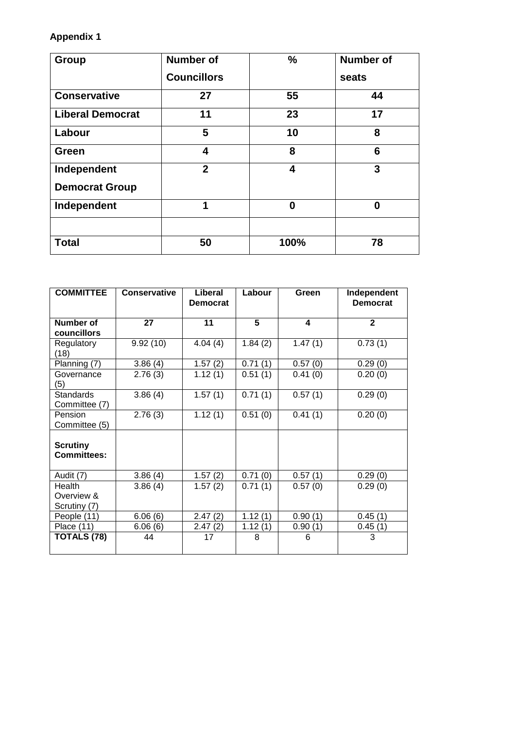## **Appendix 1**

| <b>Group</b>            | <b>Number of</b>   | %        | <b>Number of</b> |
|-------------------------|--------------------|----------|------------------|
|                         | <b>Councillors</b> |          | seats            |
| <b>Conservative</b>     | 27                 | 55       | 44               |
| <b>Liberal Democrat</b> | 11                 | 23       | 17               |
| Labour                  | 5                  | 10       | 8                |
| Green                   | 4                  | 8        | $6\phantom{1}6$  |
| Independent             | $\overline{2}$     | 4        | 3                |
| <b>Democrat Group</b>   |                    |          |                  |
| Independent             | 1                  | $\bf{0}$ | 0                |
|                         |                    |          |                  |
| <b>Total</b>            | 50                 | 100%     | 78               |

| <b>COMMITTEE</b>                      | <b>Conservative</b> | Liberal<br><b>Democrat</b> | Labour  | Green   | Independent<br><b>Democrat</b> |
|---------------------------------------|---------------------|----------------------------|---------|---------|--------------------------------|
|                                       |                     |                            |         |         |                                |
| Number of                             | 27                  | 11                         | 5       | 4       | $\mathbf{2}$                   |
| councillors                           |                     |                            |         |         |                                |
| Regulatory<br>(18)                    | 9.92(10)            | 4.04(4)                    | 1.84(2) | 1.47(1) | 0.73(1)                        |
| Planning (7)                          | 3.86(4)             | 1.57(2)                    | 0.71(1) | 0.57(0) | 0.29(0)                        |
| Governance<br>(5)                     | 2.76(3)             | 1.12(1)                    | 0.51(1) | 0.41(0) | 0.20(0)                        |
| <b>Standards</b>                      | 3.86(4)             | 1.57(1)                    | 0.71(1) | 0.57(1) | 0.29(0)                        |
| Committee (7)                         |                     |                            |         |         |                                |
| Pension                               | 2.76(3)             | 1.12(1)                    | 0.51(0) | 0.41(1) | 0.20(0)                        |
| Committee (5)                         |                     |                            |         |         |                                |
| <b>Scrutiny</b><br><b>Committees:</b> |                     |                            |         |         |                                |
| Audit (7)                             | 3.86(4)             | 1.57(2)                    | 0.71(0) | 0.57(1) | 0.29(0)                        |
| Health                                | 3.86(4)             | 1.57(2)                    | 0.71(1) | 0.57(0) | 0.29(0)                        |
| Overview &                            |                     |                            |         |         |                                |
| Scrutiny (7)                          |                     |                            |         |         |                                |
| People (11)                           | 6.06(6)             | 2.47(2)                    | 1.12(1) | 0.90(1) | 0.45(1)                        |
| Place $(11)$                          | 6.06(6)             | 2.47(2)                    | 1.12(1) | 0.90(1) | 0.45(1)                        |
| TOTALS (78)                           | 44                  | 17                         | 8       | 6       | 3                              |